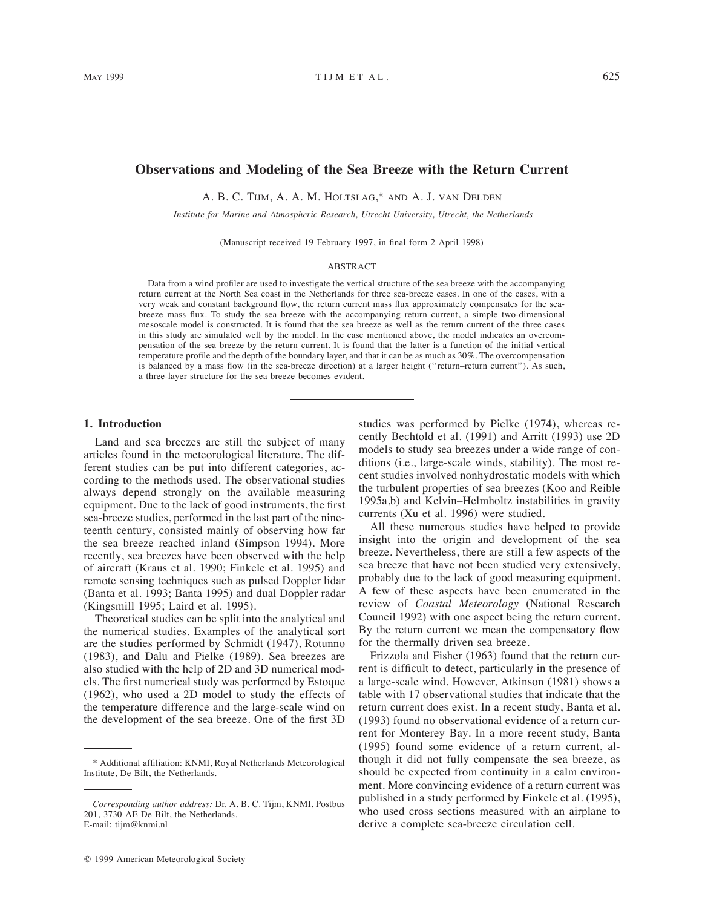# **Observations and Modeling of the Sea Breeze with the Return Current**

A. B. C. TIJM, A. A. M. HOLTSLAG,\* AND A. J. VAN DELDEN

*Institute for Marine and Atmospheric Research, Utrecht University, Utrecht, the Netherlands*

(Manuscript received 19 February 1997, in final form 2 April 1998)

## ABSTRACT

Data from a wind profiler are used to investigate the vertical structure of the sea breeze with the accompanying return current at the North Sea coast in the Netherlands for three sea-breeze cases. In one of the cases, with a very weak and constant background flow, the return current mass flux approximately compensates for the seabreeze mass flux. To study the sea breeze with the accompanying return current, a simple two-dimensional mesoscale model is constructed. It is found that the sea breeze as well as the return current of the three cases in this study are simulated well by the model. In the case mentioned above, the model indicates an overcompensation of the sea breeze by the return current. It is found that the latter is a function of the initial vertical temperature profile and the depth of the boundary layer, and that it can be as much as 30%. The overcompensation is balanced by a mass flow (in the sea-breeze direction) at a larger height (''return–return current''). As such, a three-layer structure for the sea breeze becomes evident.

### **1. Introduction**

Land and sea breezes are still the subject of many articles found in the meteorological literature. The different studies can be put into different categories, according to the methods used. The observational studies always depend strongly on the available measuring equipment. Due to the lack of good instruments, the first sea-breeze studies, performed in the last part of the nineteenth century, consisted mainly of observing how far the sea breeze reached inland (Simpson 1994). More recently, sea breezes have been observed with the help of aircraft (Kraus et al. 1990; Finkele et al. 1995) and remote sensing techniques such as pulsed Doppler lidar (Banta et al. 1993; Banta 1995) and dual Doppler radar (Kingsmill 1995; Laird et al. 1995).

Theoretical studies can be split into the analytical and the numerical studies. Examples of the analytical sort are the studies performed by Schmidt (1947), Rotunno (1983), and Dalu and Pielke (1989). Sea breezes are also studied with the help of 2D and 3D numerical models. The first numerical study was performed by Estoque (1962), who used a 2D model to study the effects of the temperature difference and the large-scale wind on the development of the sea breeze. One of the first 3D studies was performed by Pielke (1974), whereas recently Bechtold et al. (1991) and Arritt (1993) use 2D models to study sea breezes under a wide range of conditions (i.e., large-scale winds, stability). The most recent studies involved nonhydrostatic models with which the turbulent properties of sea breezes (Koo and Reible 1995a,b) and Kelvin–Helmholtz instabilities in gravity currents (Xu et al. 1996) were studied.

All these numerous studies have helped to provide insight into the origin and development of the sea breeze. Nevertheless, there are still a few aspects of the sea breeze that have not been studied very extensively, probably due to the lack of good measuring equipment. A few of these aspects have been enumerated in the review of *Coastal Meteorology* (National Research Council 1992) with one aspect being the return current. By the return current we mean the compensatory flow for the thermally driven sea breeze.

Frizzola and Fisher (1963) found that the return current is difficult to detect, particularly in the presence of a large-scale wind. However, Atkinson (1981) shows a table with 17 observational studies that indicate that the return current does exist. In a recent study, Banta et al. (1993) found no observational evidence of a return current for Monterey Bay. In a more recent study, Banta (1995) found some evidence of a return current, although it did not fully compensate the sea breeze, as should be expected from continuity in a calm environment. More convincing evidence of a return current was published in a study performed by Finkele et al. (1995), who used cross sections measured with an airplane to derive a complete sea-breeze circulation cell.

<sup>\*</sup> Additional affiliation: KNMI, Royal Netherlands Meteorological Institute, De Bilt, the Netherlands.

*Corresponding author address:* Dr. A. B. C. Tijm, KNMI, Postbus 201, 3730 AE De Bilt, the Netherlands. E-mail: tijm@knmi.nl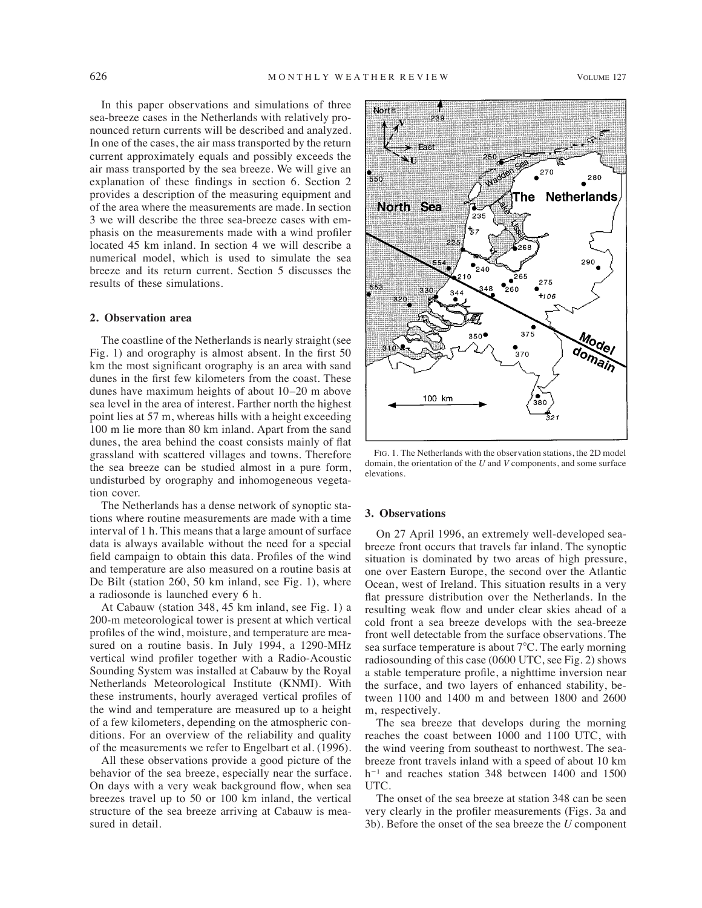In this paper observations and simulations of three sea-breeze cases in the Netherlands with relatively pronounced return currents will be described and analyzed. In one of the cases, the air mass transported by the return current approximately equals and possibly exceeds the air mass transported by the sea breeze. We will give an explanation of these findings in section 6. Section 2 provides a description of the measuring equipment and of the area where the measurements are made. In section 3 we will describe the three sea-breeze cases with emphasis on the measurements made with a wind profiler located 45 km inland. In section 4 we will describe a numerical model, which is used to simulate the sea breeze and its return current. Section 5 discusses the results of these simulations.

### **2. Observation area**

The coastline of the Netherlands is nearly straight (see Fig. 1) and orography is almost absent. In the first 50 km the most significant orography is an area with sand dunes in the first few kilometers from the coast. These dunes have maximum heights of about 10–20 m above sea level in the area of interest. Farther north the highest point lies at 57 m, whereas hills with a height exceeding 100 m lie more than 80 km inland. Apart from the sand dunes, the area behind the coast consists mainly of flat grassland with scattered villages and towns. Therefore the sea breeze can be studied almost in a pure form, undisturbed by orography and inhomogeneous vegetation cover.

The Netherlands has a dense network of synoptic stations where routine measurements are made with a time interval of 1 h. This means that a large amount of surface data is always available without the need for a special field campaign to obtain this data. Profiles of the wind and temperature are also measured on a routine basis at De Bilt (station 260, 50 km inland, see Fig. 1), where a radiosonde is launched every 6 h.

At Cabauw (station 348, 45 km inland, see Fig. 1) a 200-m meteorological tower is present at which vertical profiles of the wind, moisture, and temperature are measured on a routine basis. In July 1994, a 1290-MHz vertical wind profiler together with a Radio-Acoustic Sounding System was installed at Cabauw by the Royal Netherlands Meteorological Institute (KNMI). With these instruments, hourly averaged vertical profiles of the wind and temperature are measured up to a height of a few kilometers, depending on the atmospheric conditions. For an overview of the reliability and quality of the measurements we refer to Engelbart et al. (1996).

All these observations provide a good picture of the behavior of the sea breeze, especially near the surface. On days with a very weak background flow, when sea breezes travel up to 50 or 100 km inland, the vertical structure of the sea breeze arriving at Cabauw is measured in detail.



FIG. 1. The Netherlands with the observation stations, the 2D model domain, the orientation of the *U* and *V* components, and some surface elevations.

## **3. Observations**

On 27 April 1996, an extremely well-developed seabreeze front occurs that travels far inland. The synoptic situation is dominated by two areas of high pressure, one over Eastern Europe, the second over the Atlantic Ocean, west of Ireland. This situation results in a very flat pressure distribution over the Netherlands. In the resulting weak flow and under clear skies ahead of a cold front a sea breeze develops with the sea-breeze front well detectable from the surface observations. The sea surface temperature is about  $7^{\circ}$ C. The early morning radiosounding of this case (0600 UTC, see Fig. 2) shows a stable temperature profile, a nighttime inversion near the surface, and two layers of enhanced stability, between 1100 and 1400 m and between 1800 and 2600 m, respectively.

The sea breeze that develops during the morning reaches the coast between 1000 and 1100 UTC, with the wind veering from southeast to northwest. The seabreeze front travels inland with a speed of about 10 km  $h^{-1}$  and reaches station 348 between 1400 and 1500 UTC.

The onset of the sea breeze at station 348 can be seen very clearly in the profiler measurements (Figs. 3a and 3b). Before the onset of the sea breeze the *U* component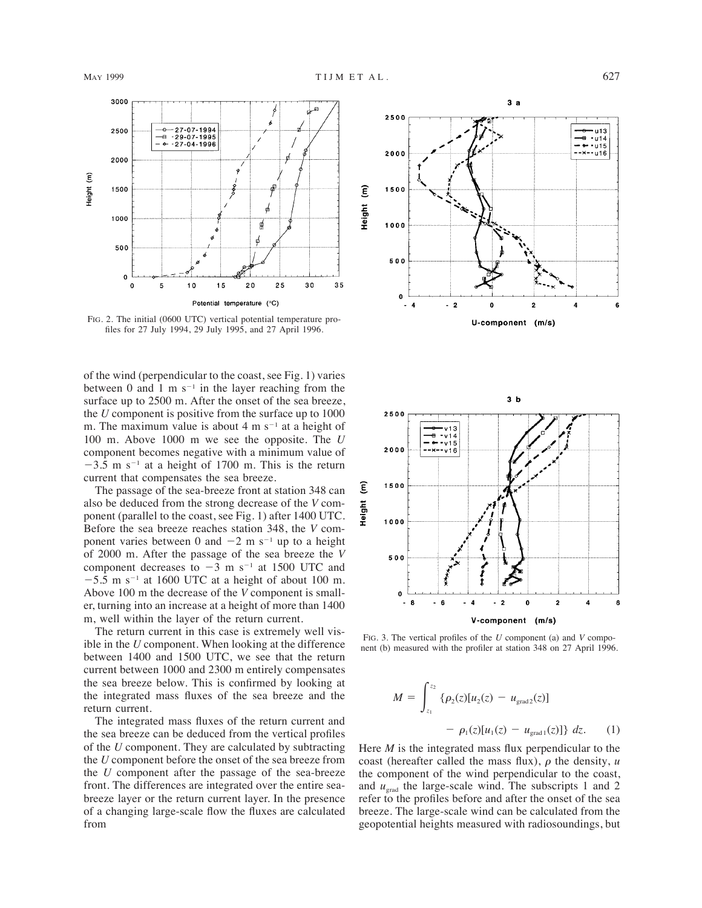

FIG. 2. The initial (0600 UTC) vertical potential temperature profiles for 27 July 1994, 29 July 1995, and 27 April 1996.

of the wind (perpendicular to the coast, see Fig. 1) varies between 0 and 1 m  $s^{-1}$  in the layer reaching from the surface up to 2500 m. After the onset of the sea breeze, the *U* component is positive from the surface up to 1000 m. The maximum value is about 4 m  $s^{-1}$  at a height of 100 m. Above 1000 m we see the opposite. The *U* component becomes negative with a minimum value of  $-3.5$  m s<sup>-1</sup> at a height of 1700 m. This is the return current that compensates the sea breeze.

The passage of the sea-breeze front at station 348 can also be deduced from the strong decrease of the *V* component (parallel to the coast, see Fig. 1) after 1400 UTC. Before the sea breeze reaches station 348, the *V* component varies between 0 and  $-2$  m s<sup>-1</sup> up to a height of 2000 m. After the passage of the sea breeze the *V* component decreases to  $-3$  m s<sup>-1</sup> at 1500 UTC and  $-5.\overline{5}$  m s<sup>-1</sup> at 1600 UTC at a height of about 100 m. Above 100 m the decrease of the *V* component is smaller, turning into an increase at a height of more than 1400 m, well within the layer of the return current.

The return current in this case is extremely well visible in the *U* component. When looking at the difference between 1400 and 1500 UTC, we see that the return current between 1000 and 2300 m entirely compensates the sea breeze below. This is confirmed by looking at the integrated mass fluxes of the sea breeze and the return current.

The integrated mass fluxes of the return current and the sea breeze can be deduced from the vertical profiles of the *U* component. They are calculated by subtracting the *U* component before the onset of the sea breeze from the *U* component after the passage of the sea-breeze front. The differences are integrated over the entire seabreeze layer or the return current layer. In the presence of a changing large-scale flow the fluxes are calculated from





FIG. 3. The vertical profiles of the *U* component (a) and *V* component (b) measured with the profiler at station 348 on 27 April 1996.

$$
M = \int_{z_1}^{z_2} {\{\rho_2(z)[u_2(z) - u_{\text{grad}2}(z)] \over - \rho_1(z)[u_1(z) - u_{\text{grad}1}(z)]\}} dz.
$$
 (1)

Here *M* is the integrated mass flux perpendicular to the coast (hereafter called the mass flux),  $\rho$  the density,  $u$ the component of the wind perpendicular to the coast, and  $u_{\text{grad}}$  the large-scale wind. The subscripts 1 and 2 refer to the profiles before and after the onset of the sea breeze. The large-scale wind can be calculated from the geopotential heights measured with radiosoundings, but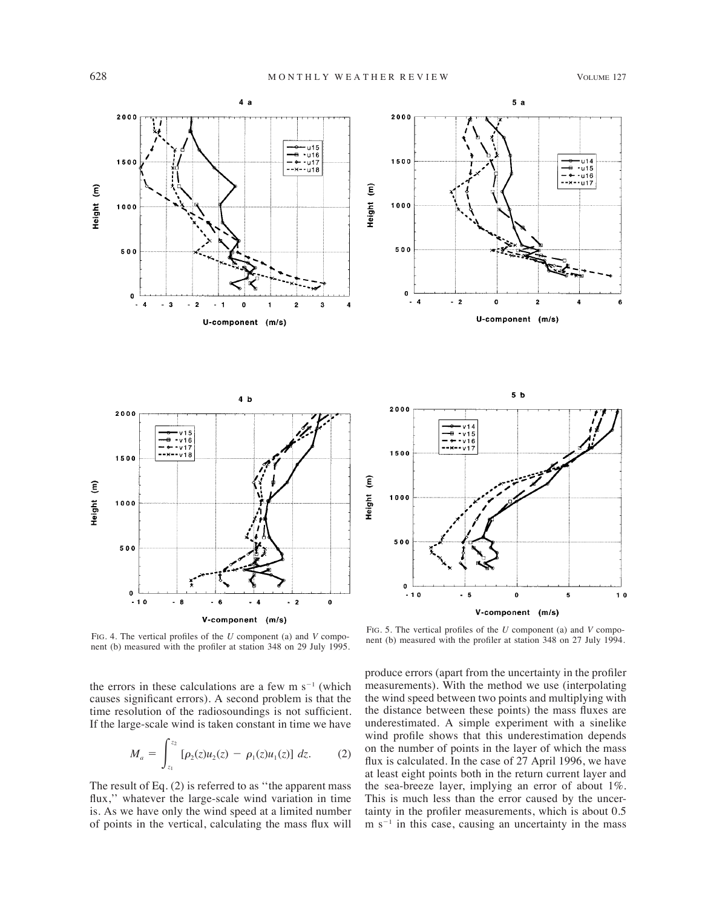A

 $10$ 



FIG. 4. The vertical profiles of the *U* component (a) and *V* component (b) measured with the profiler at station 348 on 29 July 1995.

the errors in these calculations are a few  $m s^{-1}$  (which causes significant errors). A second problem is that the time resolution of the radiosoundings is not sufficient. If the large-scale wind is taken constant in time we have

$$
M_a = \int_{z_1}^{z_2} \left[ \rho_2(z) u_2(z) - \rho_1(z) u_1(z) \right] dz.
$$
 (2)

The result of Eq. (2) is referred to as ''the apparent mass flux,'' whatever the large-scale wind variation in time is. As we have only the wind speed at a limited number of points in the vertical, calculating the mass flux will

FIG. 5. The vertical profiles of the *U* component (a) and *V* component (b) measured with the profiler at station 348 on 27 July 1994.

produce errors (apart from the uncertainty in the profiler measurements). With the method we use (interpolating the wind speed between two points and multiplying with the distance between these points) the mass fluxes are underestimated. A simple experiment with a sinelike wind profile shows that this underestimation depends on the number of points in the layer of which the mass flux is calculated. In the case of 27 April 1996, we have at least eight points both in the return current layer and the sea-breeze layer, implying an error of about 1%. This is much less than the error caused by the uncertainty in the profiler measurements, which is about 0.5  $m s<sup>-1</sup>$  in this case, causing an uncertainty in the mass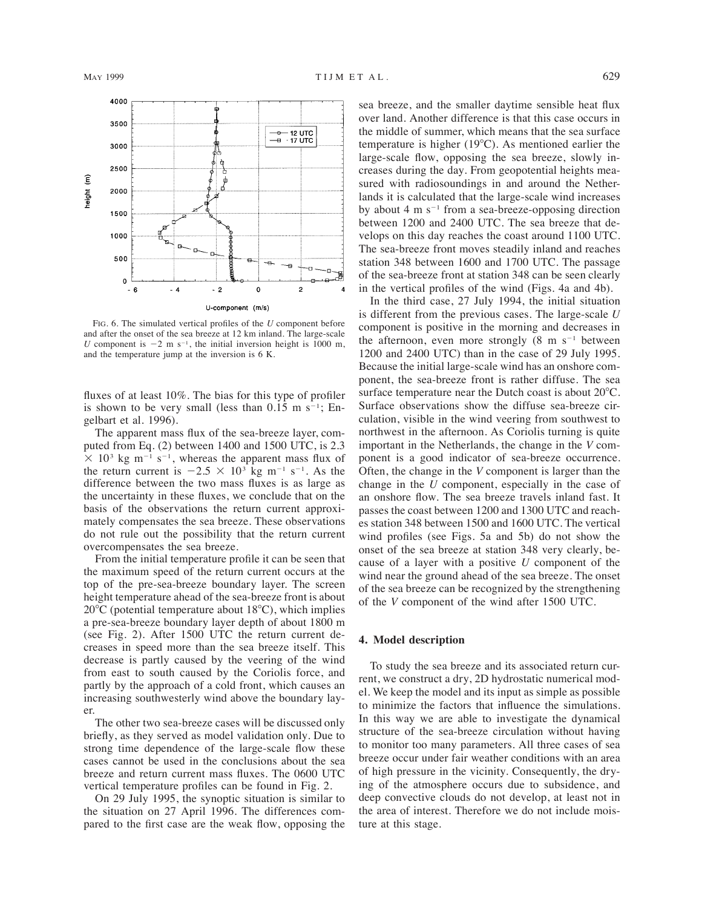

FIG. 6. The simulated vertical profiles of the *U* component before and after the onset of the sea breeze at 12 km inland. The large-scale *U* component is  $-2$  m s<sup>-1</sup>, the initial inversion height is 1000 m, and the temperature jump at the inversion is 6 K.

fluxes of at least 10%. The bias for this type of profiler is shown to be very small (less than  $0.15$  m s<sup>-1</sup>; Engelbart et al. 1996).

The apparent mass flux of the sea-breeze layer, computed from Eq. (2) between 1400 and 1500 UTC, is 2.3  $\times$  10<sup>3</sup> kg m<sup>-1</sup> s<sup>-1</sup>, whereas the apparent mass flux of the return current is  $-2.5 \times 10^3$  kg m<sup>-1</sup> s<sup>-1</sup>. As the difference between the two mass fluxes is as large as the uncertainty in these fluxes, we conclude that on the basis of the observations the return current approximately compensates the sea breeze. These observations do not rule out the possibility that the return current overcompensates the sea breeze.

From the initial temperature profile it can be seen that the maximum speed of the return current occurs at the top of the pre-sea-breeze boundary layer. The screen height temperature ahead of the sea-breeze front is about  $20^{\circ}$ C (potential temperature about 18 $^{\circ}$ C), which implies a pre-sea-breeze boundary layer depth of about 1800 m (see Fig. 2). After 1500 UTC the return current decreases in speed more than the sea breeze itself. This decrease is partly caused by the veering of the wind from east to south caused by the Coriolis force, and partly by the approach of a cold front, which causes an increasing southwesterly wind above the boundary layer.

The other two sea-breeze cases will be discussed only briefly, as they served as model validation only. Due to strong time dependence of the large-scale flow these cases cannot be used in the conclusions about the sea breeze and return current mass fluxes. The 0600 UTC vertical temperature profiles can be found in Fig. 2.

On 29 July 1995, the synoptic situation is similar to the situation on 27 April 1996. The differences compared to the first case are the weak flow, opposing the sea breeze, and the smaller daytime sensible heat flux over land. Another difference is that this case occurs in the middle of summer, which means that the sea surface temperature is higher  $(19^{\circ}C)$ . As mentioned earlier the large-scale flow, opposing the sea breeze, slowly increases during the day. From geopotential heights measured with radiosoundings in and around the Netherlands it is calculated that the large-scale wind increases by about 4 m  $s^{-1}$  from a sea-breeze-opposing direction between 1200 and 2400 UTC. The sea breeze that develops on this day reaches the coast around 1100 UTC. The sea-breeze front moves steadily inland and reaches station 348 between 1600 and 1700 UTC. The passage of the sea-breeze front at station 348 can be seen clearly in the vertical profiles of the wind (Figs. 4a and 4b).

In the third case, 27 July 1994, the initial situation is different from the previous cases. The large-scale *U* component is positive in the morning and decreases in the afternoon, even more strongly  $(8 \text{ m s}^{-1})$  between 1200 and 2400 UTC) than in the case of 29 July 1995. Because the initial large-scale wind has an onshore component, the sea-breeze front is rather diffuse. The sea surface temperature near the Dutch coast is about  $20^{\circ}$ C. Surface observations show the diffuse sea-breeze circulation, visible in the wind veering from southwest to northwest in the afternoon. As Coriolis turning is quite important in the Netherlands, the change in the *V* component is a good indicator of sea-breeze occurrence. Often, the change in the *V* component is larger than the change in the *U* component, especially in the case of an onshore flow. The sea breeze travels inland fast. It passes the coast between 1200 and 1300 UTC and reaches station 348 between 1500 and 1600 UTC. The vertical wind profiles (see Figs. 5a and 5b) do not show the onset of the sea breeze at station 348 very clearly, because of a layer with a positive *U* component of the wind near the ground ahead of the sea breeze. The onset of the sea breeze can be recognized by the strengthening of the *V* component of the wind after 1500 UTC.

### **4. Model description**

To study the sea breeze and its associated return current, we construct a dry, 2D hydrostatic numerical model. We keep the model and its input as simple as possible to minimize the factors that influence the simulations. In this way we are able to investigate the dynamical structure of the sea-breeze circulation without having to monitor too many parameters. All three cases of sea breeze occur under fair weather conditions with an area of high pressure in the vicinity. Consequently, the drying of the atmosphere occurs due to subsidence, and deep convective clouds do not develop, at least not in the area of interest. Therefore we do not include moisture at this stage.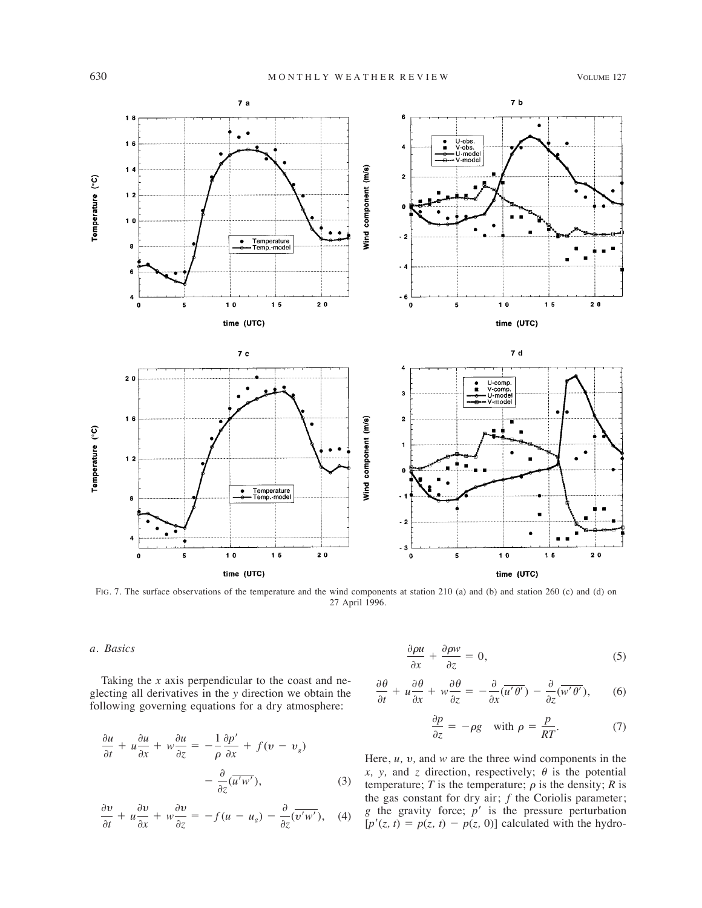

FIG. 7. The surface observations of the temperature and the wind components at station 210 (a) and (b) and station 260 (c) and (d) on 27 April 1996.

# *a. Basics*

Taking the *x* axis perpendicular to the coast and neglecting all derivatives in the *y* direction we obtain the following governing equations for a dry atmosphere:

$$
\frac{\partial u}{\partial t} + u \frac{\partial u}{\partial x} + w \frac{\partial u}{\partial z} = -\frac{1}{\rho} \frac{\partial p'}{\partial x} + f(v - v_g) \n- \frac{\partial}{\partial z} (\overline{u'w'}),
$$
\n(3)

$$
\frac{\partial v}{\partial t} + u \frac{\partial v}{\partial x} + w \frac{\partial v}{\partial z} = -f(u - u_g) - \frac{\partial}{\partial z} (\overline{v'w'}), \quad (4)
$$

$$
\frac{\partial \rho u}{\partial x} + \frac{\partial \rho w}{\partial z} = 0, \tag{5}
$$

$$
\frac{\partial \theta}{\partial t} + u \frac{\partial \theta}{\partial x} + w \frac{\partial \theta}{\partial z} = -\frac{\partial}{\partial x} (\overline{u' \theta'}) - \frac{\partial}{\partial z} (\overline{w' \theta'}), \quad (6)
$$

$$
\frac{\partial p}{\partial z} = -\rho g \quad \text{with } \rho = \frac{p}{RT}.\tag{7}
$$

Here,  $u$ ,  $v$ , and  $w$  are the three wind components in the *x*, *y*, and *z* direction, respectively;  $\theta$  is the potential temperature; *T* is the temperature;  $\rho$  is the density; *R* is the gas constant for dry air; *f* the Coriolis parameter; *g* the gravity force; *p*' is the pressure perturbation  $[p'(z, t) = p(z, t) - p(z, 0)]$  calculated with the hydro-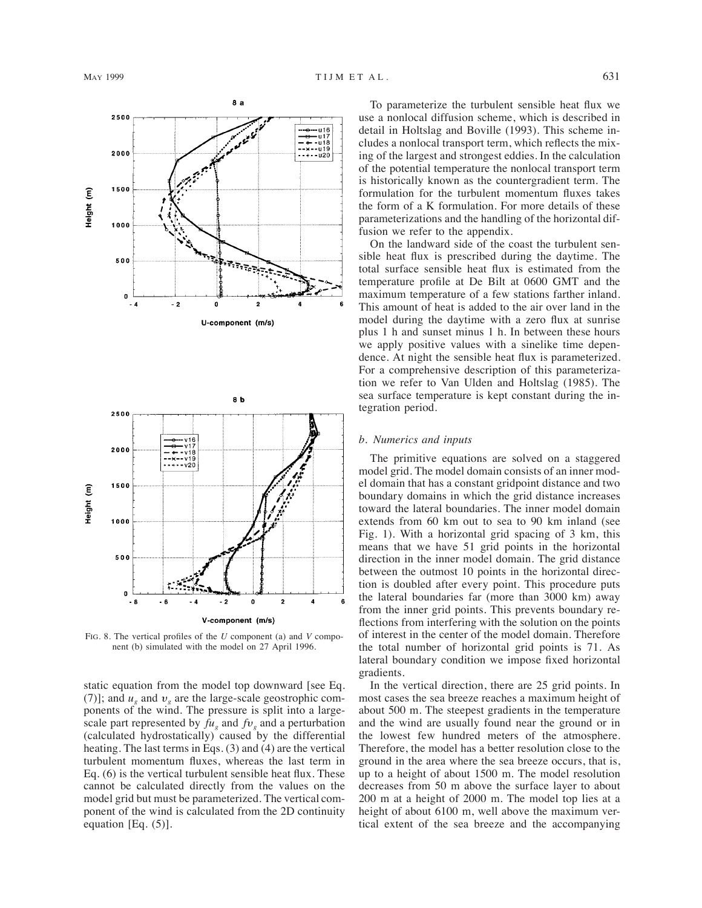



FIG. 8. The vertical profiles of the *U* component (a) and *V* component (b) simulated with the model on 27 April 1996.

static equation from the model top downward [see Eq. (7)]; and  $u_{\nu}$  and  $v_{\nu}$  are the large-scale geostrophic components of the wind. The pressure is split into a largescale part represented by  $fu_a$  and  $fv_a$  and a perturbation (calculated hydrostatically) caused by the differential heating. The last terms in Eqs. (3) and (4) are the vertical turbulent momentum fluxes, whereas the last term in Eq. (6) is the vertical turbulent sensible heat flux. These cannot be calculated directly from the values on the model grid but must be parameterized. The vertical component of the wind is calculated from the 2D continuity equation [Eq. (5)].

To parameterize the turbulent sensible heat flux we use a nonlocal diffusion scheme, which is described in detail in Holtslag and Boville (1993). This scheme includes a nonlocal transport term, which reflects the mixing of the largest and strongest eddies. In the calculation of the potential temperature the nonlocal transport term is historically known as the countergradient term. The formulation for the turbulent momentum fluxes takes the form of a K formulation. For more details of these parameterizations and the handling of the horizontal diffusion we refer to the appendix.

On the landward side of the coast the turbulent sensible heat flux is prescribed during the daytime. The total surface sensible heat flux is estimated from the temperature profile at De Bilt at 0600 GMT and the maximum temperature of a few stations farther inland. This amount of heat is added to the air over land in the model during the daytime with a zero flux at sunrise plus 1 h and sunset minus 1 h. In between these hours we apply positive values with a sinelike time dependence. At night the sensible heat flux is parameterized. For a comprehensive description of this parameterization we refer to Van Ulden and Holtslag (1985). The sea surface temperature is kept constant during the integration period.

## *b. Numerics and inputs*

The primitive equations are solved on a staggered model grid. The model domain consists of an inner model domain that has a constant gridpoint distance and two boundary domains in which the grid distance increases toward the lateral boundaries. The inner model domain extends from 60 km out to sea to 90 km inland (see Fig. 1). With a horizontal grid spacing of 3 km, this means that we have 51 grid points in the horizontal direction in the inner model domain. The grid distance between the outmost 10 points in the horizontal direction is doubled after every point. This procedure puts the lateral boundaries far (more than 3000 km) away from the inner grid points. This prevents boundary reflections from interfering with the solution on the points of interest in the center of the model domain. Therefore the total number of horizontal grid points is 71. As lateral boundary condition we impose fixed horizontal gradients.

In the vertical direction, there are 25 grid points. In most cases the sea breeze reaches a maximum height of about 500 m. The steepest gradients in the temperature and the wind are usually found near the ground or in the lowest few hundred meters of the atmosphere. Therefore, the model has a better resolution close to the ground in the area where the sea breeze occurs, that is, up to a height of about 1500 m. The model resolution decreases from 50 m above the surface layer to about 200 m at a height of 2000 m. The model top lies at a height of about 6100 m, well above the maximum vertical extent of the sea breeze and the accompanying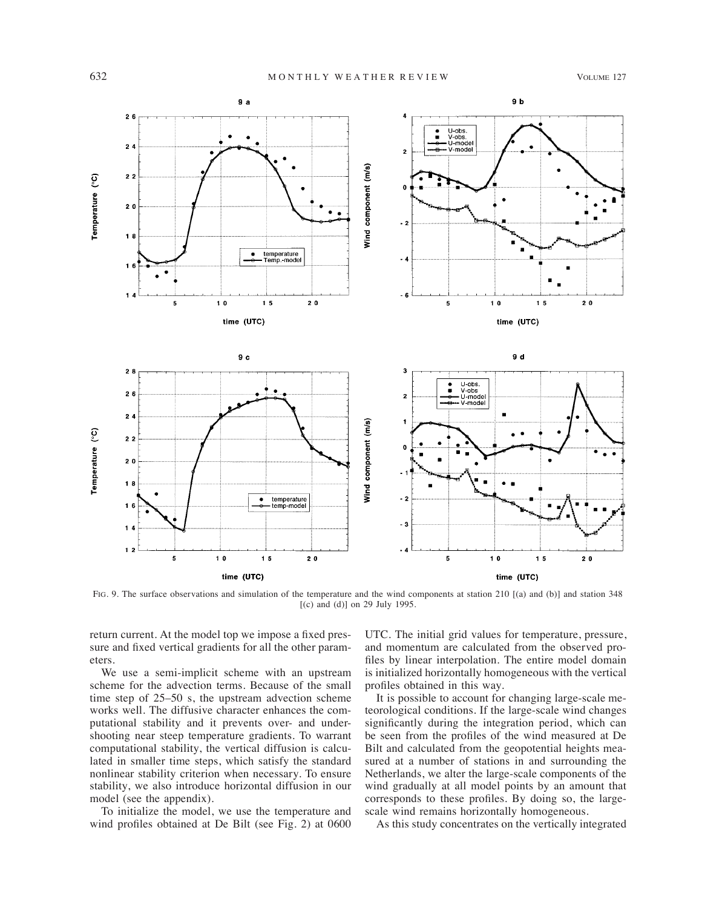

FIG. 9. The surface observations and simulation of the temperature and the wind components at station 210 [(a) and (b)] and station 348 [(c) and (d)] on 29 July 1995.

return current. At the model top we impose a fixed pressure and fixed vertical gradients for all the other parameters.

We use a semi-implicit scheme with an upstream scheme for the advection terms. Because of the small time step of 25–50 s, the upstream advection scheme works well. The diffusive character enhances the computational stability and it prevents over- and undershooting near steep temperature gradients. To warrant computational stability, the vertical diffusion is calculated in smaller time steps, which satisfy the standard nonlinear stability criterion when necessary. To ensure stability, we also introduce horizontal diffusion in our model (see the appendix).

To initialize the model, we use the temperature and wind profiles obtained at De Bilt (see Fig. 2) at 0600

UTC. The initial grid values for temperature, pressure, and momentum are calculated from the observed profiles by linear interpolation. The entire model domain is initialized horizontally homogeneous with the vertical profiles obtained in this way.

It is possible to account for changing large-scale meteorological conditions. If the large-scale wind changes significantly during the integration period, which can be seen from the profiles of the wind measured at De Bilt and calculated from the geopotential heights measured at a number of stations in and surrounding the Netherlands, we alter the large-scale components of the wind gradually at all model points by an amount that corresponds to these profiles. By doing so, the largescale wind remains horizontally homogeneous.

As this study concentrates on the vertically integrated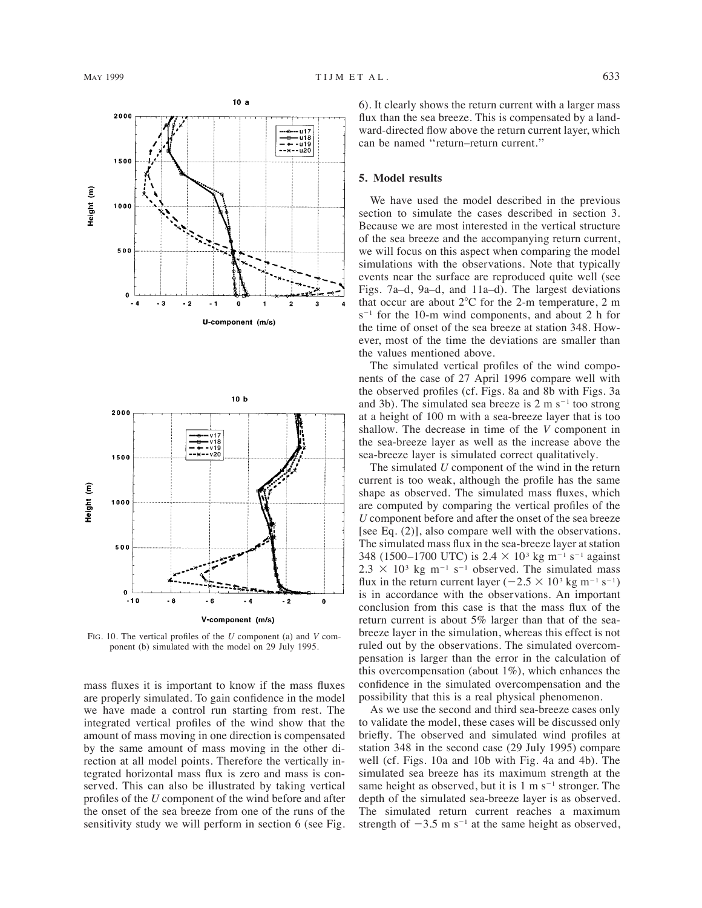



FIG. 10. The vertical profiles of the *U* component (a) and *V* component (b) simulated with the model on 29 July 1995.

mass fluxes it is important to know if the mass fluxes are properly simulated. To gain confidence in the model we have made a control run starting from rest. The integrated vertical profiles of the wind show that the amount of mass moving in one direction is compensated by the same amount of mass moving in the other direction at all model points. Therefore the vertically integrated horizontal mass flux is zero and mass is conserved. This can also be illustrated by taking vertical profiles of the *U* component of the wind before and after the onset of the sea breeze from one of the runs of the sensitivity study we will perform in section 6 (see Fig. 6). It clearly shows the return current with a larger mass flux than the sea breeze. This is compensated by a landward-directed flow above the return current layer, which can be named ''return–return current.''

## **5. Model results**

We have used the model described in the previous section to simulate the cases described in section 3. Because we are most interested in the vertical structure of the sea breeze and the accompanying return current, we will focus on this aspect when comparing the model simulations with the observations. Note that typically events near the surface are reproduced quite well (see Figs. 7a–d, 9a–d, and 11a–d). The largest deviations that occur are about  $2^{\circ}$ C for the 2-m temperature, 2 m  $s^{-1}$  for the 10-m wind components, and about 2 h for the time of onset of the sea breeze at station 348. However, most of the time the deviations are smaller than the values mentioned above.

The simulated vertical profiles of the wind components of the case of 27 April 1996 compare well with the observed profiles (cf. Figs. 8a and 8b with Figs. 3a and 3b). The simulated sea breeze is  $2 \text{ m s}^{-1}$  too strong at a height of 100 m with a sea-breeze layer that is too shallow. The decrease in time of the *V* component in the sea-breeze layer as well as the increase above the sea-breeze layer is simulated correct qualitatively.

The simulated *U* component of the wind in the return current is too weak, although the profile has the same shape as observed. The simulated mass fluxes, which are computed by comparing the vertical profiles of the *U* component before and after the onset of the sea breeze [see Eq. (2)], also compare well with the observations. The simulated mass flux in the sea-breeze layer at station 348 (1500–1700 UTC) is  $2.4 \times 10^{3}$  kg m<sup>-1</sup> s<sup>-1</sup> against  $2.3 \times 10^{3}$  kg m<sup>-1</sup> s<sup>-1</sup> observed. The simulated mass flux in the return current layer  $(-2.5 \times 10^3 \text{ kg m}^{-1} \text{ s}^{-1})$ is in accordance with the observations. An important conclusion from this case is that the mass flux of the return current is about 5% larger than that of the seabreeze layer in the simulation, whereas this effect is not ruled out by the observations. The simulated overcompensation is larger than the error in the calculation of this overcompensation (about 1%), which enhances the confidence in the simulated overcompensation and the possibility that this is a real physical phenomenon.

As we use the second and third sea-breeze cases only to validate the model, these cases will be discussed only briefly. The observed and simulated wind profiles at station 348 in the second case (29 July 1995) compare well (cf. Figs. 10a and 10b with Fig. 4a and 4b). The simulated sea breeze has its maximum strength at the same height as observed, but it is  $1 \text{ m s}^{-1}$  stronger. The depth of the simulated sea-breeze layer is as observed. The simulated return current reaches a maximum strength of  $-3.5$  m s<sup>-1</sup> at the same height as observed,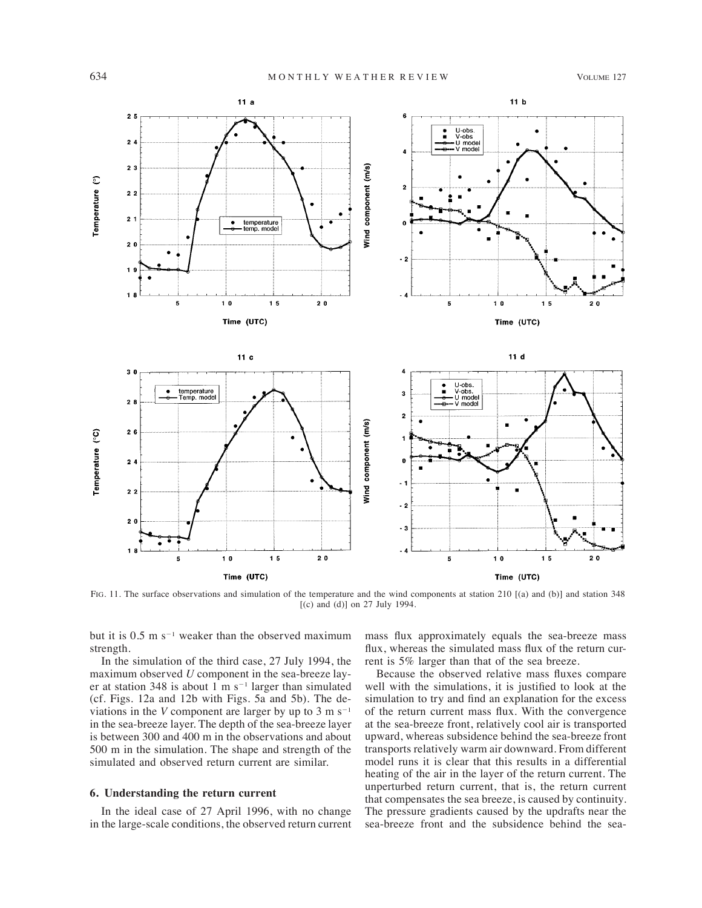

FIG. 11. The surface observations and simulation of the temperature and the wind components at station 210 [(a) and (b)] and station 348 [(c) and (d)] on 27 July 1994.

but it is  $0.5$  m s<sup>-1</sup> weaker than the observed maximum strength.

In the simulation of the third case, 27 July 1994, the maximum observed *U* component in the sea-breeze layer at station 348 is about 1 m  $s^{-1}$  larger than simulated (cf. Figs. 12a and 12b with Figs. 5a and 5b). The deviations in the *V* component are larger by up to  $3 \text{ m s}^{-1}$ in the sea-breeze layer. The depth of the sea-breeze layer is between 300 and 400 m in the observations and about 500 m in the simulation. The shape and strength of the simulated and observed return current are similar.

# **6. Understanding the return current**

In the ideal case of 27 April 1996, with no change in the large-scale conditions, the observed return current mass flux approximately equals the sea-breeze mass flux, whereas the simulated mass flux of the return current is 5% larger than that of the sea breeze.

Because the observed relative mass fluxes compare well with the simulations, it is justified to look at the simulation to try and find an explanation for the excess of the return current mass flux. With the convergence at the sea-breeze front, relatively cool air is transported upward, whereas subsidence behind the sea-breeze front transports relatively warm air downward. From different model runs it is clear that this results in a differential heating of the air in the layer of the return current. The unperturbed return current, that is, the return current that compensates the sea breeze, is caused by continuity. The pressure gradients caused by the updrafts near the sea-breeze front and the subsidence behind the sea-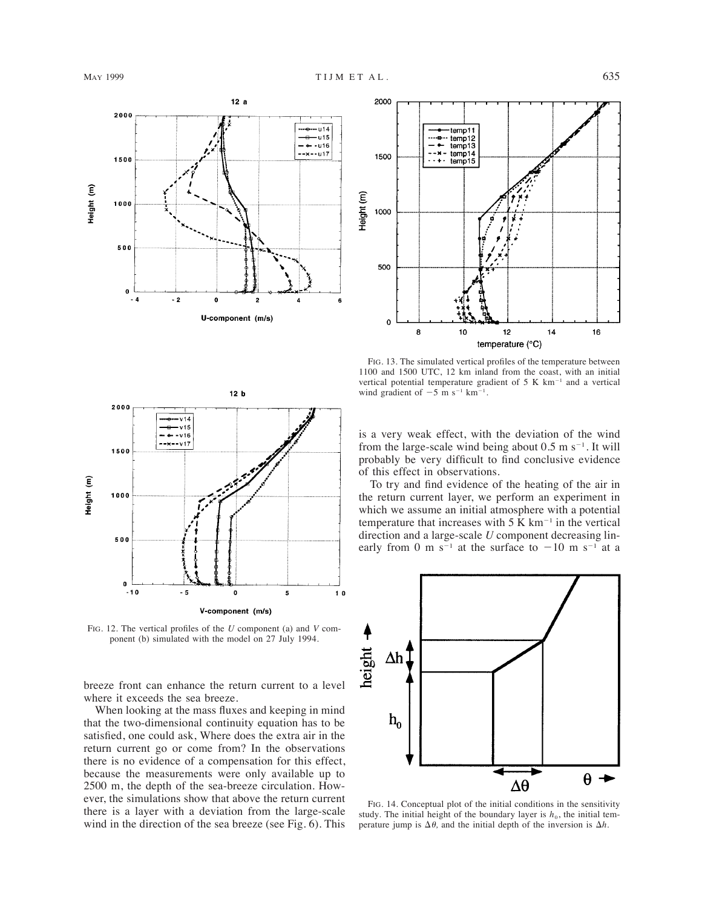





FIG. 12. The vertical profiles of the *U* component (a) and *V* component (b) simulated with the model on 27 July 1994.

breeze front can enhance the return current to a level where it exceeds the sea breeze.

When looking at the mass fluxes and keeping in mind that the two-dimensional continuity equation has to be satisfied, one could ask, Where does the extra air in the return current go or come from? In the observations there is no evidence of a compensation for this effect, because the measurements were only available up to 2500 m, the depth of the sea-breeze circulation. However, the simulations show that above the return current there is a layer with a deviation from the large-scale wind in the direction of the sea breeze (see Fig. 6). This

FIG. 13. The simulated vertical profiles of the temperature between 1100 and 1500 UTC, 12 km inland from the coast, with an initial vertical potential temperature gradient of  $5 K km^{-1}$  and a vertical wind gradient of  $-5$  m s<sup>-1</sup> km<sup>-1</sup>.

is a very weak effect, with the deviation of the wind from the large-scale wind being about  $0.5 \text{ m s}^{-1}$ . It will probably be very difficult to find conclusive evidence of this effect in observations.

To try and find evidence of the heating of the air in the return current layer, we perform an experiment in which we assume an initial atmosphere with a potential temperature that increases with  $5 K km^{-1}$  in the vertical direction and a large-scale *U* component decreasing linearly from 0 m s<sup>-1</sup> at the surface to  $-10$  m s<sup>-1</sup> at a



FIG. 14. Conceptual plot of the initial conditions in the sensitivity study. The initial height of the boundary layer is  $h_0$ , the initial temperature jump is  $\Delta\theta$ , and the initial depth of the inversion is  $\Delta h$ .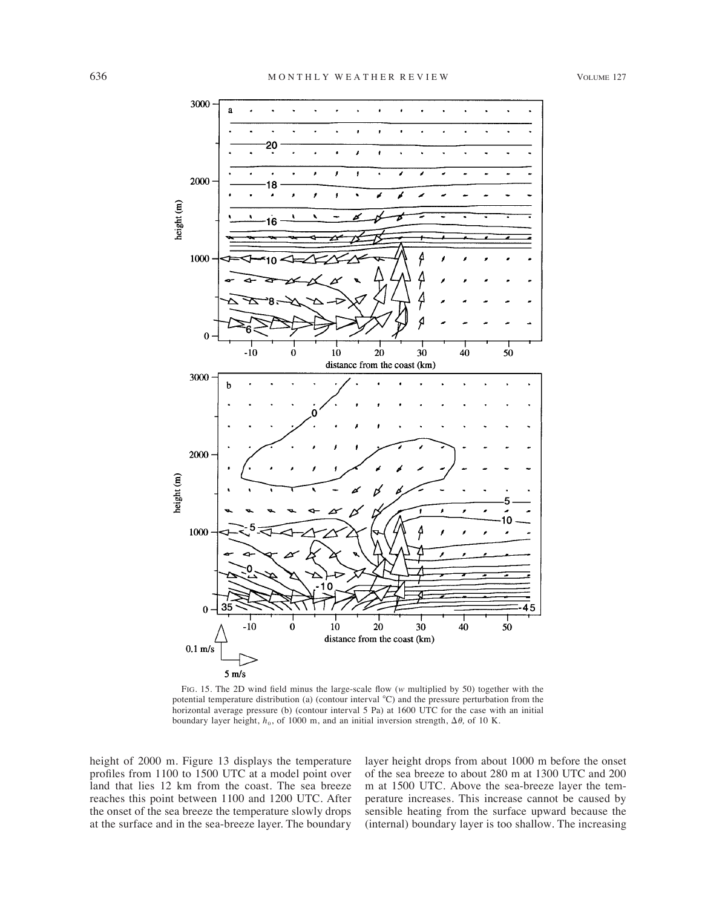

FIG. 15. The 2D wind field minus the large-scale flow (*w* multiplied by 50) together with the potential temperature distribution (a) (contour interval  $^{\circ}$ C) and the pressure perturbation from the horizontal average pressure (b) (contour interval 5 Pa) at 1600 UTC for the case with an initial boundary layer height,  $h_0$ , of 1000 m, and an initial inversion strength,  $\Delta\theta$ , of 10 K.

height of 2000 m. Figure 13 displays the temperature profiles from 1100 to 1500 UTC at a model point over land that lies 12 km from the coast. The sea breeze reaches this point between 1100 and 1200 UTC. After the onset of the sea breeze the temperature slowly drops at the surface and in the sea-breeze layer. The boundary layer height drops from about 1000 m before the onset of the sea breeze to about 280 m at 1300 UTC and 200 m at 1500 UTC. Above the sea-breeze layer the temperature increases. This increase cannot be caused by sensible heating from the surface upward because the (internal) boundary layer is too shallow. The increasing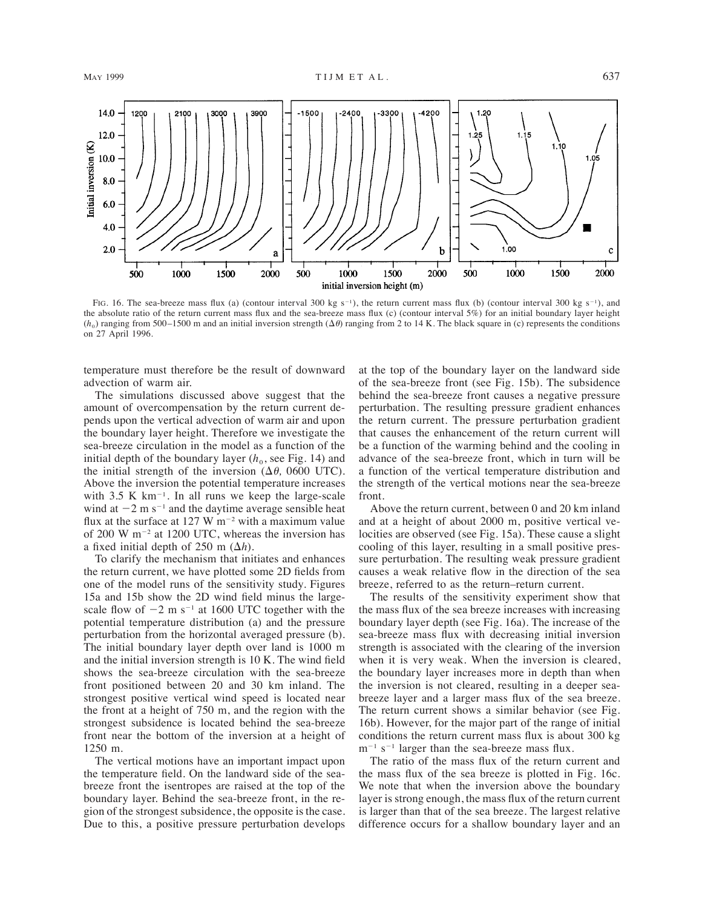![](_page_12_Figure_3.jpeg)

FIG. 16. The sea-breeze mass flux (a) (contour interval 300 kg s<sup>-1</sup>), the return current mass flux (b) (contour interval 300 kg s<sup>-1</sup>), and the absolute ratio of the return current mass flux and the sea-breeze mass flux (c) (contour interval 5%) for an initial boundary layer height  $(h_0)$  ranging from 500–1500 m and an initial inversion strength  $(\Delta \theta)$  ranging from 2 to 14 K. The black square in (c) represents the conditions on 27 April 1996.

temperature must therefore be the result of downward advection of warm air.

The simulations discussed above suggest that the amount of overcompensation by the return current depends upon the vertical advection of warm air and upon the boundary layer height. Therefore we investigate the sea-breeze circulation in the model as a function of the initial depth of the boundary layer  $(h_0, \text{see Fig. 14})$  and the initial strength of the inversion  $(\Delta \theta, 0600 \text{ UTC})$ . Above the inversion the potential temperature increases with  $3.5 \text{ K km}^{-1}$ . In all runs we keep the large-scale wind at  $-2$  m s<sup>-1</sup> and the daytime average sensible heat flux at the surface at  $127 \text{ W m}^{-2}$  with a maximum value of 200 W  $m^{-2}$  at 1200 UTC, whereas the inversion has a fixed initial depth of 250 m  $(\Delta h)$ .

To clarify the mechanism that initiates and enhances the return current, we have plotted some 2D fields from one of the model runs of the sensitivity study. Figures 15a and 15b show the 2D wind field minus the largescale flow of  $-2$  m s<sup>-1</sup> at 1600 UTC together with the potential temperature distribution (a) and the pressure perturbation from the horizontal averaged pressure (b). The initial boundary layer depth over land is 1000 m and the initial inversion strength is 10 K. The wind field shows the sea-breeze circulation with the sea-breeze front positioned between 20 and 30 km inland. The strongest positive vertical wind speed is located near the front at a height of 750 m, and the region with the strongest subsidence is located behind the sea-breeze front near the bottom of the inversion at a height of 1250 m.

The vertical motions have an important impact upon the temperature field. On the landward side of the seabreeze front the isentropes are raised at the top of the boundary layer. Behind the sea-breeze front, in the region of the strongest subsidence, the opposite is the case. Due to this, a positive pressure perturbation develops at the top of the boundary layer on the landward side of the sea-breeze front (see Fig. 15b). The subsidence behind the sea-breeze front causes a negative pressure perturbation. The resulting pressure gradient enhances the return current. The pressure perturbation gradient that causes the enhancement of the return current will be a function of the warming behind and the cooling in advance of the sea-breeze front, which in turn will be a function of the vertical temperature distribution and the strength of the vertical motions near the sea-breeze front.

Above the return current, between 0 and 20 km inland and at a height of about 2000 m, positive vertical velocities are observed (see Fig. 15a). These cause a slight cooling of this layer, resulting in a small positive pressure perturbation. The resulting weak pressure gradient causes a weak relative flow in the direction of the sea breeze, referred to as the return–return current.

The results of the sensitivity experiment show that the mass flux of the sea breeze increases with increasing boundary layer depth (see Fig. 16a). The increase of the sea-breeze mass flux with decreasing initial inversion strength is associated with the clearing of the inversion when it is very weak. When the inversion is cleared, the boundary layer increases more in depth than when the inversion is not cleared, resulting in a deeper seabreeze layer and a larger mass flux of the sea breeze. The return current shows a similar behavior (see Fig. 16b). However, for the major part of the range of initial conditions the return current mass flux is about 300 kg  $m^{-1}$  s<sup>-1</sup> larger than the sea-breeze mass flux.

The ratio of the mass flux of the return current and the mass flux of the sea breeze is plotted in Fig. 16c. We note that when the inversion above the boundary layer is strong enough, the mass flux of the return current is larger than that of the sea breeze. The largest relative difference occurs for a shallow boundary layer and an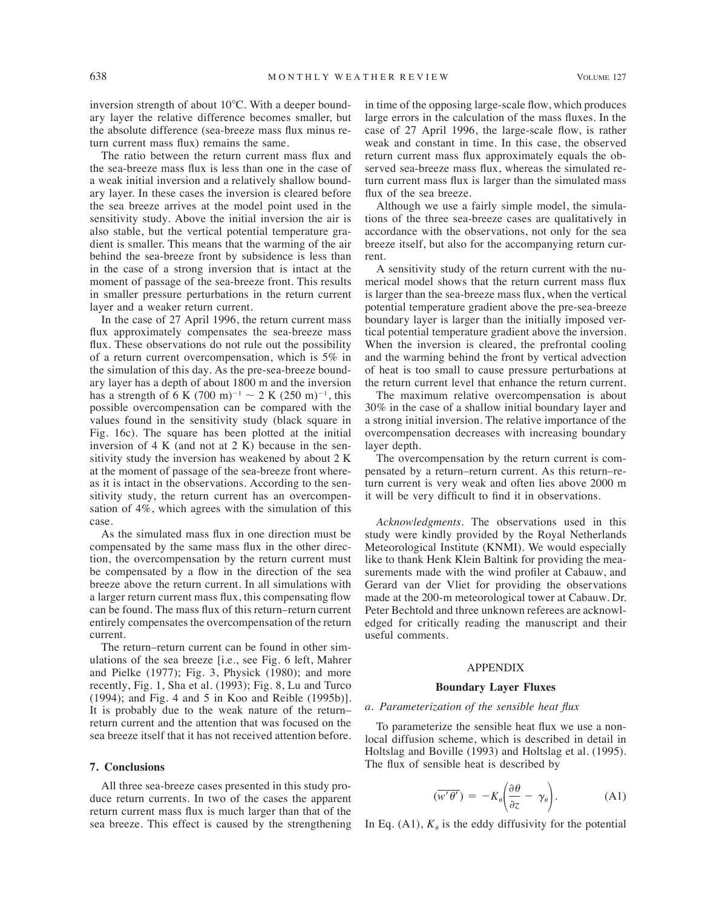inversion strength of about  $10^{\circ}$ C. With a deeper boundary layer the relative difference becomes smaller, but the absolute difference (sea-breeze mass flux minus return current mass flux) remains the same.

The ratio between the return current mass flux and the sea-breeze mass flux is less than one in the case of a weak initial inversion and a relatively shallow boundary layer. In these cases the inversion is cleared before the sea breeze arrives at the model point used in the sensitivity study. Above the initial inversion the air is also stable, but the vertical potential temperature gradient is smaller. This means that the warming of the air behind the sea-breeze front by subsidence is less than in the case of a strong inversion that is intact at the moment of passage of the sea-breeze front. This results in smaller pressure perturbations in the return current layer and a weaker return current.

In the case of 27 April 1996, the return current mass flux approximately compensates the sea-breeze mass flux. These observations do not rule out the possibility of a return current overcompensation, which is 5% in the simulation of this day. As the pre-sea-breeze boundary layer has a depth of about 1800 m and the inversion has a strength of 6 K (700 m)<sup>-1</sup>  $\sim$  2 K (250 m)<sup>-1</sup>, this possible overcompensation can be compared with the values found in the sensitivity study (black square in Fig. 16c). The square has been plotted at the initial inversion of 4 K (and not at 2 K) because in the sensitivity study the inversion has weakened by about 2 K at the moment of passage of the sea-breeze front whereas it is intact in the observations. According to the sensitivity study, the return current has an overcompensation of 4%, which agrees with the simulation of this case.

As the simulated mass flux in one direction must be compensated by the same mass flux in the other direction, the overcompensation by the return current must be compensated by a flow in the direction of the sea breeze above the return current. In all simulations with a larger return current mass flux, this compensating flow can be found. The mass flux of this return–return current entirely compensates the overcompensation of the return current.

The return–return current can be found in other simulations of the sea breeze [i.e., see Fig. 6 left, Mahrer and Pielke (1977); Fig. 3, Physick (1980); and more recently, Fig. 1, Sha et al. (1993); Fig. 8, Lu and Turco (1994); and Fig. 4 and 5 in Koo and Reible (1995b)]. It is probably due to the weak nature of the return– return current and the attention that was focused on the sea breeze itself that it has not received attention before.

### **7. Conclusions**

All three sea-breeze cases presented in this study produce return currents. In two of the cases the apparent return current mass flux is much larger than that of the sea breeze. This effect is caused by the strengthening in time of the opposing large-scale flow, which produces large errors in the calculation of the mass fluxes. In the case of 27 April 1996, the large-scale flow, is rather weak and constant in time. In this case, the observed return current mass flux approximately equals the observed sea-breeze mass flux, whereas the simulated return current mass flux is larger than the simulated mass flux of the sea breeze.

Although we use a fairly simple model, the simulations of the three sea-breeze cases are qualitatively in accordance with the observations, not only for the sea breeze itself, but also for the accompanying return current.

A sensitivity study of the return current with the numerical model shows that the return current mass flux is larger than the sea-breeze mass flux, when the vertical potential temperature gradient above the pre-sea-breeze boundary layer is larger than the initially imposed vertical potential temperature gradient above the inversion. When the inversion is cleared, the prefrontal cooling and the warming behind the front by vertical advection of heat is too small to cause pressure perturbations at the return current level that enhance the return current.

The maximum relative overcompensation is about 30% in the case of a shallow initial boundary layer and a strong initial inversion. The relative importance of the overcompensation decreases with increasing boundary layer depth.

The overcompensation by the return current is compensated by a return–return current. As this return–return current is very weak and often lies above 2000 m it will be very difficult to find it in observations.

*Acknowledgments.* The observations used in this study were kindly provided by the Royal Netherlands Meteorological Institute (KNMI). We would especially like to thank Henk Klein Baltink for providing the measurements made with the wind profiler at Cabauw, and Gerard van der Vliet for providing the observations made at the 200-m meteorological tower at Cabauw. Dr. Peter Bechtold and three unknown referees are acknowledged for critically reading the manuscript and their useful comments.

#### APPENDIX

### **Boundary Layer Fluxes**

### *a. Parameterization of the sensible heat flux*

To parameterize the sensible heat flux we use a nonlocal diffusion scheme, which is described in detail in Holtslag and Boville (1993) and Holtslag et al. (1995). The flux of sensible heat is described by

$$
(\overline{w'\theta'}) = -K_{\theta} \left(\frac{\partial \theta}{\partial z} - \gamma_{\theta}\right). \tag{A1}
$$

In Eq. (A1),  $K_{\theta}$  is the eddy diffusivity for the potential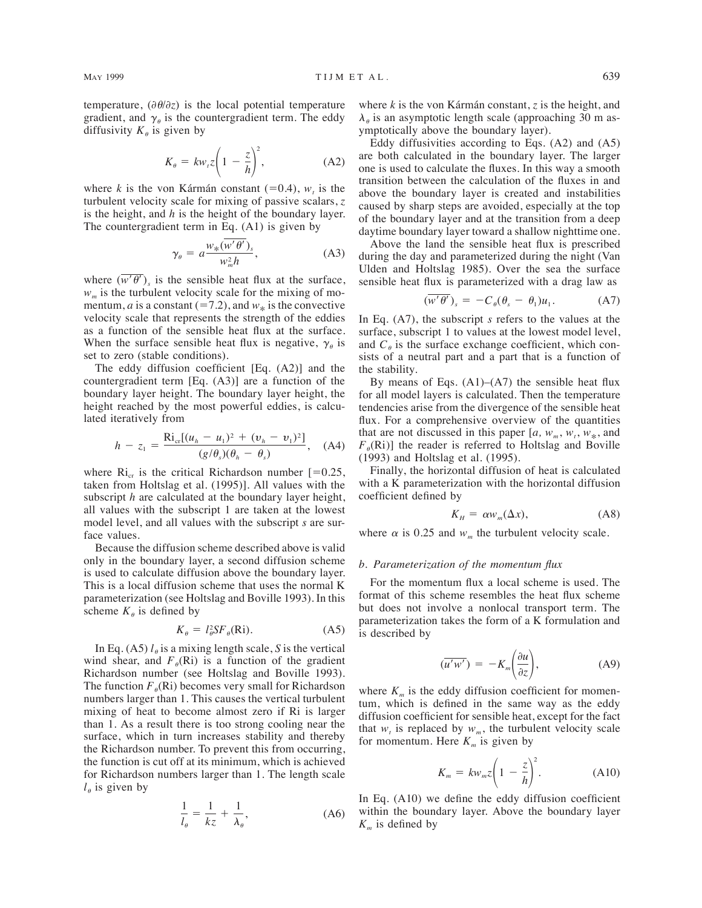temperature,  $(\partial \theta / \partial z)$  is the local potential temperature gradient, and  $\gamma_{\theta}$  is the countergradient term. The eddy diffusivity  $K_{\theta}$  is given by

$$
K_{\theta} = k w_{\iota} z \left( 1 - \frac{z}{h} \right)^2, \tag{A2}
$$

where *k* is the von Kármán constant (=0.4),  $w_t$  is the turbulent velocity scale for mixing of passive scalars, *z* is the height, and *h* is the height of the boundary layer. The countergradient term in Eq. (A1) is given by

$$
\gamma_{\theta} = a \frac{w_{*}(\overline{w'\theta'})_{s}}{w_{m}^{2}h},
$$
 (A3)

where  $(\overline{w' \theta'})$ <sub>s</sub> is the sensible heat flux at the surface,  $w_m$  is the turbulent velocity scale for the mixing of momentum, *a* is a constant ( $= 7.2$ ), and  $w_*$  is the convective velocity scale that represents the strength of the eddies as a function of the sensible heat flux at the surface. When the surface sensible heat flux is negative,  $\gamma_{\theta}$  is set to zero (stable conditions).

The eddy diffusion coefficient [Eq. (A2)] and the countergradient term [Eq. (A3)] are a function of the boundary layer height. The boundary layer height, the height reached by the most powerful eddies, is calculated iteratively from

$$
h - z_1 = \frac{\text{Ri}_{\text{cr}}[(u_h - u_1)^2 + (v_h - v_1)^2]}{(g/\theta_s)(\theta_h - \theta_s)}, \quad (A4)
$$

where  $\text{Ri}_{\text{cr}}$  is the critical Richardson number [=0.25, taken from Holtslag et al. (1995)]. All values with the subscript *h* are calculated at the boundary layer height, all values with the subscript 1 are taken at the lowest model level, and all values with the subscript *s* are surface values.

Because the diffusion scheme described above is valid only in the boundary layer, a second diffusion scheme is used to calculate diffusion above the boundary layer. This is a local diffusion scheme that uses the normal K parameterization (see Holtslag and Boville 1993). In this scheme  $K_{\theta}$  is defined by

$$
K_{\theta} = l_{\theta}^2 SF_{\theta}(\text{Ri}).\tag{A5}
$$

In Eq. (A5)  $l_{\theta}$  is a mixing length scale, *S* is the vertical wind shear, and  $F_{\theta}(\text{Ri})$  is a function of the gradient Richardson number (see Holtslag and Boville 1993). The function  $F_{\theta}(\text{Ri})$  becomes very small for Richardson numbers larger than 1. This causes the vertical turbulent mixing of heat to become almost zero if Ri is larger than 1. As a result there is too strong cooling near the surface, which in turn increases stability and thereby the Richardson number. To prevent this from occurring, the function is cut off at its minimum, which is achieved for Richardson numbers larger than 1. The length scale  $l_{\theta}$  is given by

$$
\frac{1}{l_{\theta}} = \frac{1}{kz} + \frac{1}{\lambda_{\theta}},\tag{A6}
$$

where  $k$  is the von Kármán constant,  $\zeta$  is the height, and  $\lambda_{\theta}$  is an asymptotic length scale (approaching 30 m asymptotically above the boundary layer).

Eddy diffusivities according to Eqs. (A2) and (A5) are both calculated in the boundary layer. The larger one is used to calculate the fluxes. In this way a smooth transition between the calculation of the fluxes in and above the boundary layer is created and instabilities caused by sharp steps are avoided, especially at the top of the boundary layer and at the transition from a deep daytime boundary layer toward a shallow nighttime one.

Above the land the sensible heat flux is prescribed during the day and parameterized during the night (Van Ulden and Holtslag 1985). Over the sea the surface sensible heat flux is parameterized with a drag law as

$$
\left(w'\theta'\right)_s = -C_\theta(\theta_s - \theta_1)u_1. \tag{A7}
$$

In Eq. (A7), the subscript *s* refers to the values at the surface, subscript 1 to values at the lowest model level, and  $C_{\theta}$  is the surface exchange coefficient, which consists of a neutral part and a part that is a function of the stability.

By means of Eqs.  $(A1)$ – $(A7)$  the sensible heat flux for all model layers is calculated. Then the temperature tendencies arise from the divergence of the sensible heat flux. For a comprehensive overview of the quantities that are not discussed in this paper  $[a, w_m, w_t, w_*, a$ nd  $F_{\theta}(\text{Ri})$ ] the reader is referred to Holtslag and Boville (1993) and Holtslag et al. (1995).

Finally, the horizontal diffusion of heat is calculated with a K parameterization with the horizontal diffusion coefficient defined by

$$
K_H = \alpha w_m(\Delta x), \tag{A8}
$$

where  $\alpha$  is 0.25 and  $w_m$  the turbulent velocity scale.

#### *b. Parameterization of the momentum flux*

For the momentum flux a local scheme is used. The format of this scheme resembles the heat flux scheme but does not involve a nonlocal transport term. The parameterization takes the form of a K formulation and is described by

$$
(\overline{u'w'}) = -K_m \left(\frac{\partial u}{\partial z}\right), \tag{A9}
$$

where  $K<sub>m</sub>$  is the eddy diffusion coefficient for momentum, which is defined in the same way as the eddy diffusion coefficient for sensible heat, except for the fact that  $w_t$  is replaced by  $w_m$ , the turbulent velocity scale for momentum. Here  $K_m$  is given by

$$
K_m = k w_m z \left( 1 - \frac{z}{h} \right)^2. \tag{A10}
$$

In Eq. (A10) we define the eddy diffusion coefficient within the boundary layer. Above the boundary layer  $K_m$  is defined by